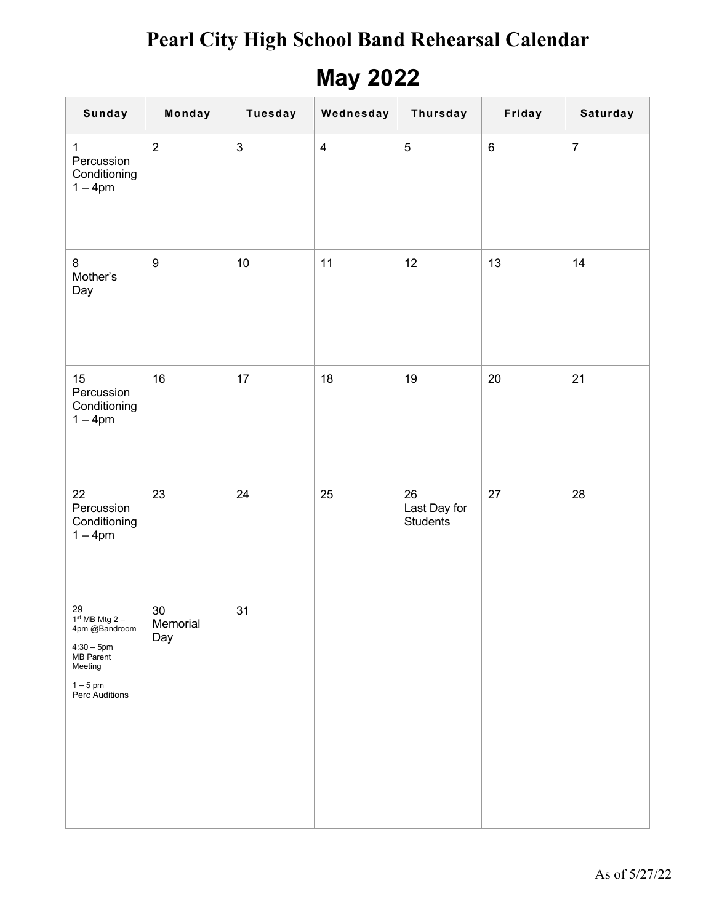## **May 2022**

| <b>Sunday</b>                                                                                                  | Monday                    | <b>Tuesday</b> | Wednesday      | Thursday                              | Friday  | Saturday         |
|----------------------------------------------------------------------------------------------------------------|---------------------------|----------------|----------------|---------------------------------------|---------|------------------|
| 1<br>Percussion<br>Conditioning<br>$1 - 4pm$                                                                   | $\overline{2}$            | $\sqrt{3}$     | $\overline{4}$ | $\sqrt{5}$                            | $\,6\,$ | $\boldsymbol{7}$ |
| 8<br>Mother's<br>Day                                                                                           | $\boldsymbol{9}$          | 10             | 11             | 12                                    | 13      | 14               |
| 15<br>Percussion<br>Conditioning<br>$1 - 4$ pm                                                                 | 16                        | 17             | 18             | 19                                    | 20      | 21               |
| 22<br>Percussion<br>Conditioning<br>$1 - 4pm$                                                                  | 23                        | 24             | 25             | 26<br>Last Day for<br><b>Students</b> | 27      | 28               |
| 29<br>$1st MB Mtg 2 -$<br>4pm @Bandroom<br>$4:30 - 5$ pm<br>MB Parent<br>Meeting<br>$1-5$ pm<br>Perc Auditions | $30\,$<br>Memorial<br>Day | 31             |                |                                       |         |                  |
|                                                                                                                |                           |                |                |                                       |         |                  |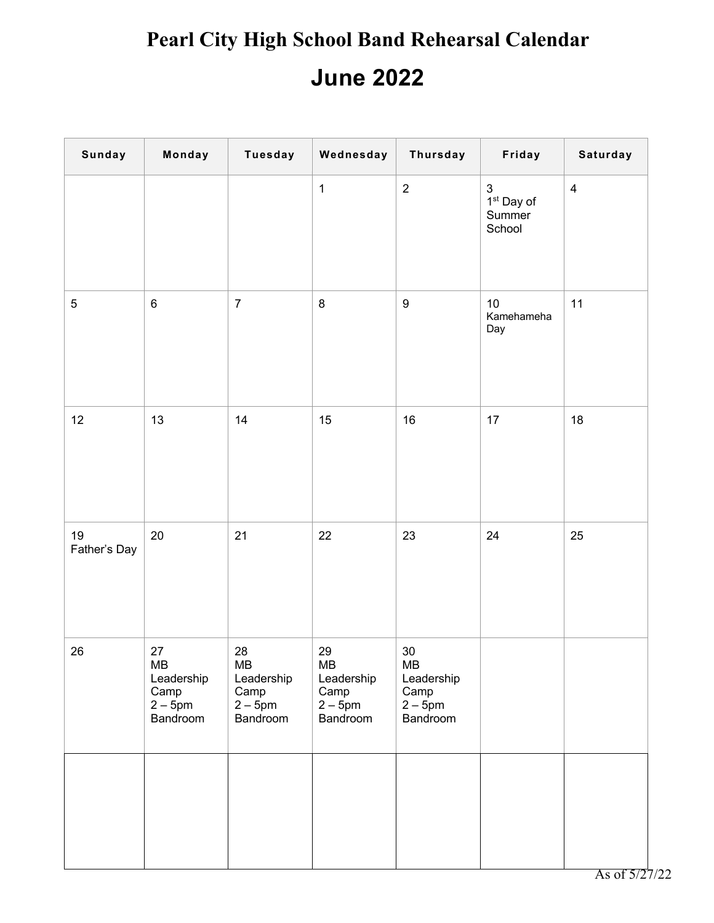| <b>Sunday</b>      | Monday                                                     | <b>Tuesday</b>                                         | Wednesday                                              | Thursday                                                   | Friday                                                        | Saturday       |
|--------------------|------------------------------------------------------------|--------------------------------------------------------|--------------------------------------------------------|------------------------------------------------------------|---------------------------------------------------------------|----------------|
|                    |                                                            |                                                        | $\mathbf{1}$                                           | $\overline{2}$                                             | $\ensuremath{\mathsf{3}}$<br>$1st$ Day of<br>Summer<br>School | $\overline{4}$ |
| $\sqrt{5}$         | $\,6\,$                                                    | $\overline{7}$                                         | $\,8\,$                                                | $\boldsymbol{9}$                                           | 10<br>Kamehameha<br>Day                                       | 11             |
| 12                 | 13                                                         | 14                                                     | 15                                                     | 16                                                         | 17                                                            | 18             |
| 19<br>Father's Day | $20\,$                                                     | 21                                                     | 22                                                     | 23                                                         | 24                                                            | 25             |
| 26                 | $27\,$<br>MВ<br>Leadership<br>Camp<br>$2-5$ pm<br>Bandroom | 28<br>MВ<br>Leadership<br>Camp<br>$2-5$ pm<br>Bandroom | 29<br>MB<br>Leadership<br>Camp<br>$2-5$ pm<br>Bandroom | $30\,$<br>MB<br>Leadership<br>Camp<br>$2-5$ pm<br>Bandroom |                                                               |                |
|                    |                                                            |                                                        |                                                        |                                                            |                                                               |                |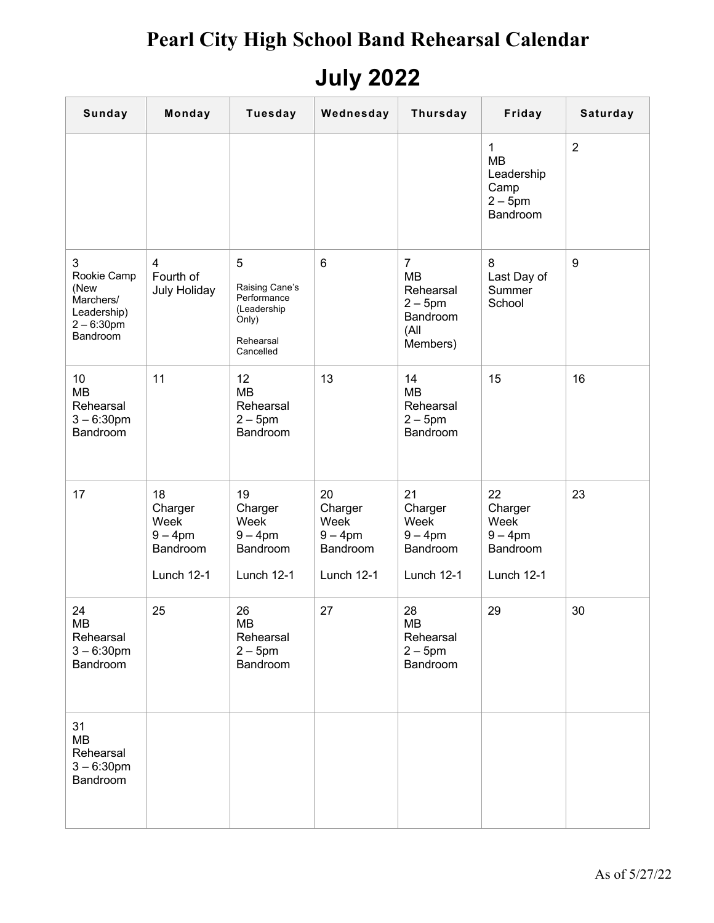## **July 2022**

| <b>Sunday</b>                                                                     | Monday                                                        | <b>Tuesday</b>                                                                       | Wednesday                                                     | <b>Thursday</b>                                                                      | Friday                                                                  | Saturday       |
|-----------------------------------------------------------------------------------|---------------------------------------------------------------|--------------------------------------------------------------------------------------|---------------------------------------------------------------|--------------------------------------------------------------------------------------|-------------------------------------------------------------------------|----------------|
|                                                                                   |                                                               |                                                                                      |                                                               |                                                                                      | $\mathbf{1}$<br><b>MB</b><br>Leadership<br>Camp<br>$2-5$ pm<br>Bandroom | $\overline{2}$ |
| 3<br>Rookie Camp<br>(New<br>Marchers/<br>Leadership)<br>$2 - 6:30$ pm<br>Bandroom | $\overline{4}$<br>Fourth of<br><b>July Holiday</b>            | 5<br>Raising Cane's<br>Performance<br>(Leadership<br>Only)<br>Rehearsal<br>Cancelled | $6\phantom{1}6$                                               | $\overline{7}$<br><b>MB</b><br>Rehearsal<br>$2-5$ pm<br>Bandroom<br>(All<br>Members) | 8<br>Last Day of<br>Summer<br>School                                    | 9              |
| 10<br><b>MB</b><br>Rehearsal<br>$3 - 6:30$ pm<br>Bandroom                         | 11                                                            | 12<br><b>MB</b><br>Rehearsal<br>$2-5$ pm<br>Bandroom                                 | 13                                                            | 14<br><b>MB</b><br>Rehearsal<br>$2 - 5$ pm<br>Bandroom                               | 15                                                                      | 16             |
| 17                                                                                | 18<br>Charger<br>Week<br>$9 - 4$ pm<br>Bandroom<br>Lunch 12-1 | 19<br>Charger<br>Week<br>$9 - 4$ pm<br>Bandroom<br>Lunch 12-1                        | 20<br>Charger<br>Week<br>$9 - 4$ pm<br>Bandroom<br>Lunch 12-1 | 21<br>Charger<br>Week<br>$9 - 4$ pm<br>Bandroom<br>Lunch 12-1                        | 22<br>Charger<br>Week<br>$9 - 4$ pm<br>Bandroom<br>Lunch 12-1           | 23             |
| 24<br><b>MB</b><br>Rehearsal<br>$3 - 6:30$ pm<br>Bandroom                         | 25                                                            | 26<br><b>MB</b><br>Rehearsal<br>$2-5$ pm<br>Bandroom                                 | 27                                                            | 28<br><b>MB</b><br>Rehearsal<br>$2-5$ pm<br>Bandroom                                 | 29                                                                      | 30             |
| 31<br><b>MB</b><br>Rehearsal<br>$3 - 6:30$ pm<br>Bandroom                         |                                                               |                                                                                      |                                                               |                                                                                      |                                                                         |                |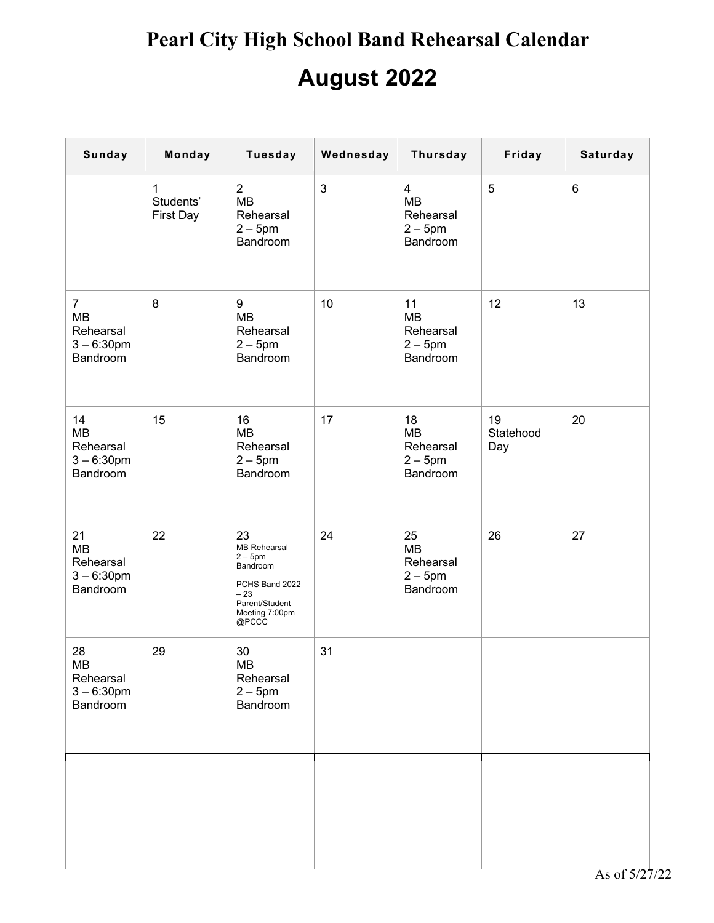| <b>Sunday</b>                                                  | Monday                                 | <b>Tuesday</b>                                                                                                            | Wednesday      | <b>Thursday</b>                                                  | Friday                 | Saturday |
|----------------------------------------------------------------|----------------------------------------|---------------------------------------------------------------------------------------------------------------------------|----------------|------------------------------------------------------------------|------------------------|----------|
|                                                                | $\mathbf{1}$<br>Students'<br>First Day | $\overline{2}$<br><b>MB</b><br>Rehearsal<br>$2-5$ pm<br>Bandroom                                                          | $\mathfrak{S}$ | $\overline{4}$<br><b>MB</b><br>Rehearsal<br>$2-5$ pm<br>Bandroom | 5                      | 6        |
| $\overline{7}$<br>MB<br>Rehearsal<br>$3 - 6:30$ pm<br>Bandroom | 8                                      | 9<br><b>MB</b><br>Rehearsal<br>$2-5$ pm<br>Bandroom                                                                       | 10             | 11<br><b>MB</b><br>Rehearsal<br>$2 - 5$ pm<br>Bandroom           | 12                     | 13       |
| 14<br><b>MB</b><br>Rehearsal<br>$3 - 6:30$ pm<br>Bandroom      | 15                                     | 16<br><b>MB</b><br>Rehearsal<br>$2-5$ pm<br><b>Bandroom</b>                                                               | 17             | 18<br><b>MB</b><br>Rehearsal<br>$2 - 5$ pm<br>Bandroom           | 19<br>Statehood<br>Day | 20       |
| 21<br><b>MB</b><br>Rehearsal<br>$3 - 6:30$ pm<br>Bandroom      | 22                                     | 23<br><b>MB Rehearsal</b><br>$2-5$ pm<br>Bandroom<br>PCHS Band 2022<br>$-23$<br>Parent/Student<br>Meeting 7:00pm<br>@PCCC | 24             | 25<br>MB<br>Rehearsal<br>$2-5$ pm<br>Bandroom                    | 26                     | 27       |
| 28<br><b>MB</b><br>Rehearsal<br>$3 - 6:30$ pm<br>Bandroom      | 29                                     | 30<br>MB<br>Rehearsal<br>$2-5$ pm<br>Bandroom                                                                             | 31             |                                                                  |                        |          |
|                                                                |                                        |                                                                                                                           |                |                                                                  |                        |          |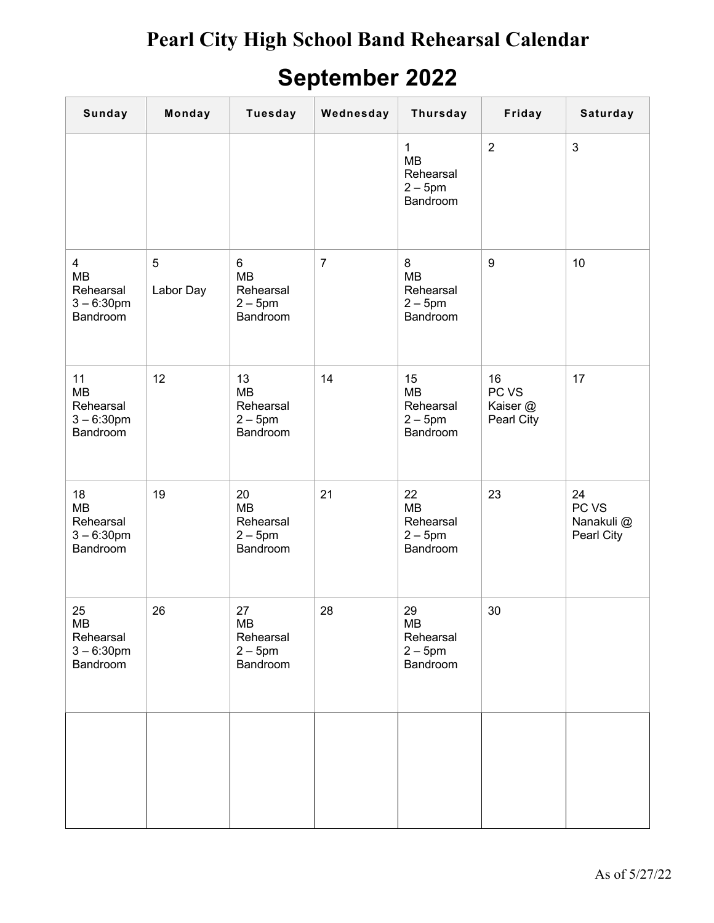## **September 2022**

| <b>Sunday</b>                                                  | Monday         | <b>Tuesday</b>                                       | Wednesday      | <b>Thursday</b>                                                | Friday                                | Saturday                                |
|----------------------------------------------------------------|----------------|------------------------------------------------------|----------------|----------------------------------------------------------------|---------------------------------------|-----------------------------------------|
|                                                                |                |                                                      |                | $\mathbf{1}$<br><b>MB</b><br>Rehearsal<br>$2-5$ pm<br>Bandroom | $\overline{2}$                        | $\mathfrak{S}$                          |
| $\overline{4}$<br>MB<br>Rehearsal<br>$3 - 6:30$ pm<br>Bandroom | 5<br>Labor Day | 6<br><b>MB</b><br>Rehearsal<br>$2-5$ pm<br>Bandroom  | $\overline{7}$ | 8<br><b>MB</b><br>Rehearsal<br>$2-5$ pm<br>Bandroom            | $9\,$                                 | 10                                      |
| 11<br>MB<br>Rehearsal<br>$3 - 6:30$ pm<br>Bandroom             | 12             | 13<br><b>MB</b><br>Rehearsal<br>$2-5$ pm<br>Bandroom | 14             | 15<br><b>MB</b><br>Rehearsal<br>$2-5$ pm<br>Bandroom           | 16<br>PC VS<br>Kaiser @<br>Pearl City | 17                                      |
| 18<br>MB<br>Rehearsal<br>$3 - 6:30$ pm<br>Bandroom             | 19             | 20<br><b>MB</b><br>Rehearsal<br>$2-5$ pm<br>Bandroom | 21             | 22<br><b>MB</b><br>Rehearsal<br>$2-5$ pm<br>Bandroom           | 23                                    | 24<br>PC VS<br>Nanakuli @<br>Pearl City |
| 25<br>MB<br>Rehearsal<br>$3 - 6:30$ pm<br>Bandroom             | 26             | 27<br>MB<br>Rehearsal<br>$2-5$ pm<br>Bandroom        | 28             | 29<br>MB<br>Rehearsal<br>$2-5$ pm<br>Bandroom                  | 30                                    |                                         |
|                                                                |                |                                                      |                |                                                                |                                       |                                         |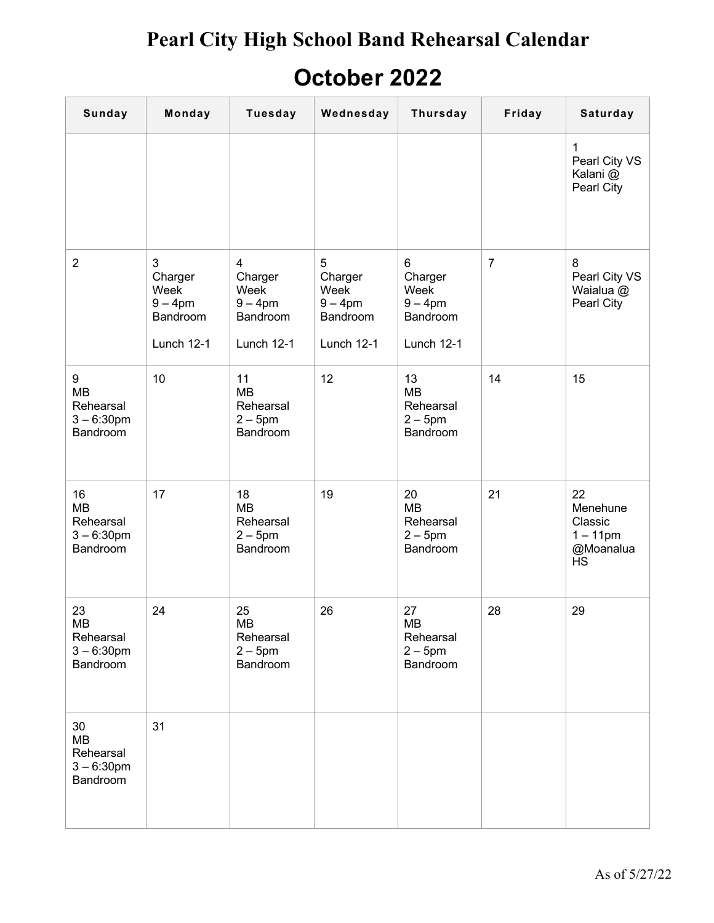#### **October 2022**

| Sunday                                                    | Monday                                                                  | <b>Tuesday</b>                                                                   | Wednesday                                                    | <b>Thursday</b>                                            | Friday         | Saturday                                                                 |
|-----------------------------------------------------------|-------------------------------------------------------------------------|----------------------------------------------------------------------------------|--------------------------------------------------------------|------------------------------------------------------------|----------------|--------------------------------------------------------------------------|
|                                                           |                                                                         |                                                                                  |                                                              |                                                            |                | 1<br>Pearl City VS<br>Kalani @<br>Pearl City                             |
| $\overline{2}$                                            | $\mathfrak{S}$<br>Charger<br>Week<br>$9-4$ pm<br>Bandroom<br>Lunch 12-1 | $\overline{\mathbf{4}}$<br>Charger<br>Week<br>$9-4$ pm<br>Bandroom<br>Lunch 12-1 | 5<br>Charger<br>Week<br>$9 - 4$ pm<br>Bandroom<br>Lunch 12-1 | 6<br>Charger<br>Week<br>$9-4$ pm<br>Bandroom<br>Lunch 12-1 | $\overline{7}$ | 8<br>Pearl City VS<br>Waialua @<br>Pearl City                            |
| 9<br><b>MB</b><br>Rehearsal<br>$3 - 6:30$ pm<br>Bandroom  | 10                                                                      | 11<br><b>MB</b><br>Rehearsal<br>$2-5$ pm<br>Bandroom                             | 12                                                           | 13<br><b>MB</b><br>Rehearsal<br>$2 - 5$ pm<br>Bandroom     | 14             | 15                                                                       |
| 16<br><b>MB</b><br>Rehearsal<br>$3 - 6:30$ pm<br>Bandroom | 17                                                                      | 18<br><b>MB</b><br>Rehearsal<br>$2-5$ pm<br>Bandroom                             | 19                                                           | 20<br><b>MB</b><br>Rehearsal<br>$2-5$ pm<br>Bandroom       | 21             | 22<br>Menehune<br>Classic<br>$1 - 11$ pm<br>@Moanalua<br>$\overline{HS}$ |
| 23<br><b>MB</b><br>Rehearsal<br>$3 - 6:30$ pm<br>Bandroom | 24                                                                      | 25<br><b>MB</b><br>Rehearsal<br>$2-5$ pm<br>Bandroom                             | 26                                                           | 27<br><b>MB</b><br>Rehearsal<br>$2-5$ pm<br>Bandroom       | 28             | 29                                                                       |
| 30<br><b>MB</b><br>Rehearsal<br>$3 - 6:30$ pm<br>Bandroom | 31                                                                      |                                                                                  |                                                              |                                                            |                |                                                                          |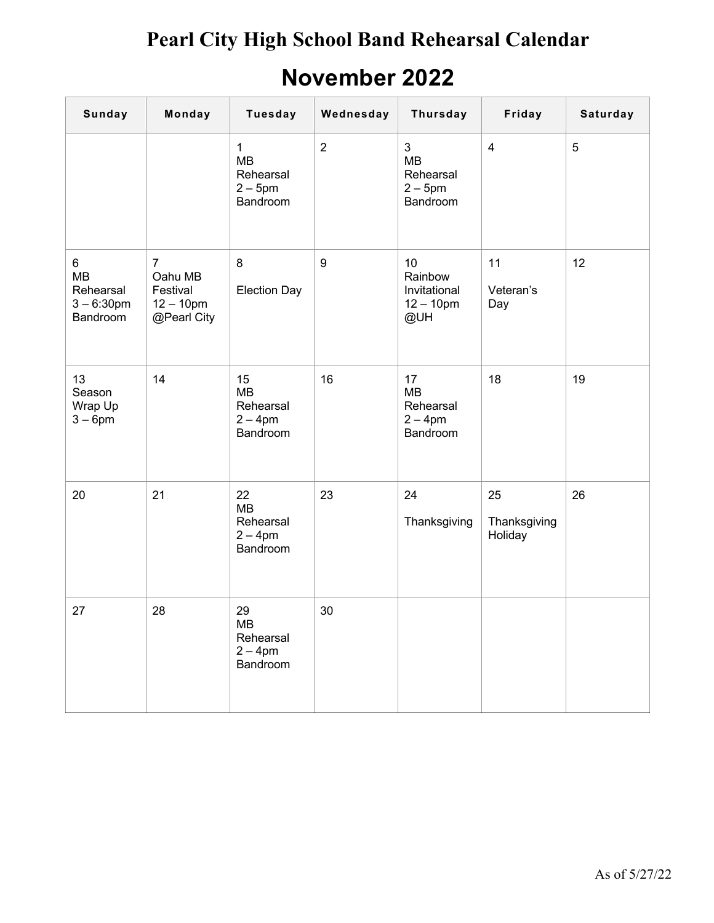## **November 2022**

| Sunday                                                   | Monday                                                               | <b>Tuesday</b>                                          | Wednesday        | <b>Thursday</b>                                           | Friday                        | Saturday |
|----------------------------------------------------------|----------------------------------------------------------------------|---------------------------------------------------------|------------------|-----------------------------------------------------------|-------------------------------|----------|
|                                                          |                                                                      | $\mathbf{1}$<br>MB<br>Rehearsal<br>$2-5$ pm<br>Bandroom | $\overline{2}$   | $\mathfrak{S}$<br>MB<br>Rehearsal<br>$2-5$ pm<br>Bandroom | $\overline{4}$                | 5        |
| 6<br><b>MB</b><br>Rehearsal<br>$3 - 6:30$ pm<br>Bandroom | $\overline{7}$<br>Oahu MB<br>Festival<br>$12 - 10$ pm<br>@Pearl City | 8<br><b>Election Day</b>                                | $\boldsymbol{9}$ | 10<br>Rainbow<br>Invitational<br>$12 - 10$ pm<br>@UH      | 11<br>Veteran's<br>Day        | 12       |
| 13<br>Season<br>Wrap Up<br>$3-6$ pm                      | 14                                                                   | 15<br>MB<br>Rehearsal<br>$2 - 4$ pm<br>Bandroom         | 16               | 17<br><b>MB</b><br>Rehearsal<br>$2 - 4$ pm<br>Bandroom    | 18                            | 19       |
| 20                                                       | 21                                                                   | 22<br><b>MB</b><br>Rehearsal<br>$2 - 4$ pm<br>Bandroom  | 23               | 24<br>Thanksgiving                                        | 25<br>Thanksgiving<br>Holiday | 26       |
| 27                                                       | 28                                                                   | 29<br>MВ<br>Rehearsal<br>$2 - 4$ pm<br>Bandroom         | 30               |                                                           |                               |          |